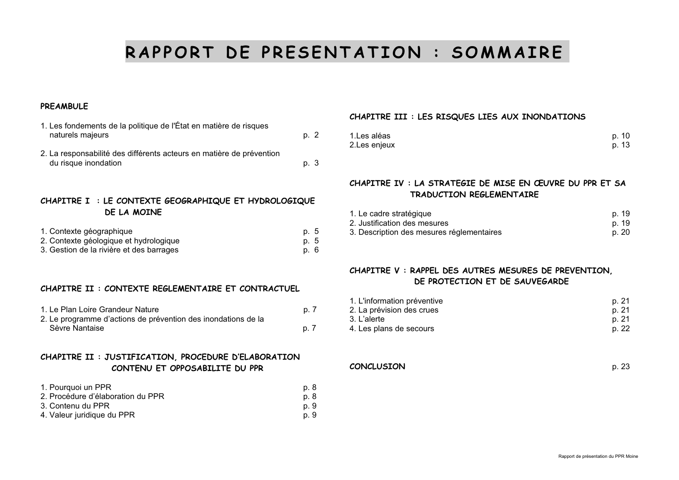# RAPPORT DE PRESENTATION : SOMMAIRE

### **PREAMBULE**

| 1. Les fondements de la politique de l'État en matière de risques<br>naturels majeurs        | p. 2 |
|----------------------------------------------------------------------------------------------|------|
| 2. La responsabilité des différents acteurs en matière de prévention<br>du risque inondation | p. 3 |

# CHAPITRE I : LE CONTEXTE GEOGRAPHIQUE ET HYDROLOGIQUE DE LA MOTNE

| 1. Contexte géographique                 | p. 5 |
|------------------------------------------|------|
| 2. Contexte géologique et hydrologique   | p. 5 |
| 3. Gestion de la rivière et des barrages | p. 6 |

### CHAPITRE II : CONTEXTE REGLEMENTAIRE ET CONTRACTUEL

| 1. Le Plan Loire Grandeur Nature                              | p. 7 |
|---------------------------------------------------------------|------|
| 2. Le programme d'actions de prévention des inondations de la |      |
| Sèvre Nantaise                                                | p. 7 |

### CHAPITRE II : JUSTIFICATION, PROCEDURE D'ELABORATION CONTENU ET OPPOSABILITE DU PPR

| 1. Pourquoi un PPR                | p. 8 |
|-----------------------------------|------|
| 2. Procédure d'élaboration du PPR | p. 8 |
| 3. Contenu du PPR                 | p. 9 |
| 4. Valeur juridique du PPR        | p. 9 |

# CHAPITRE III : LES RISQUES LIES AUX INONDATIONS

| 1.Les aléas   | p. 10 |
|---------------|-------|
| 2. Les enjeux | p. 13 |

# CHAPITRE IV : LA STRATEGIE DE MISE EN ŒUVRE DU PPR ET SA **TRADUCTION REGLEMENTAIRE**

| 1. Le cadre stratégique                   | p. 19 |
|-------------------------------------------|-------|
| 2. Justification des mesures              | p. 19 |
| 3. Description des mesures réglementaires | p. 20 |

# CHAPITRE V: RAPPEL DES AUTRES MESURES DE PREVENTION. DE PROTECTION ET DE SAUVEGARDE

| 1. L'information préventive | p. 21 |
|-----------------------------|-------|
| 2. La prévision des crues   | p. 21 |
| 3. L'alerte                 | p. 21 |
| 4. Les plans de secours     | p. 22 |

**CONCLUSION** 

p. 23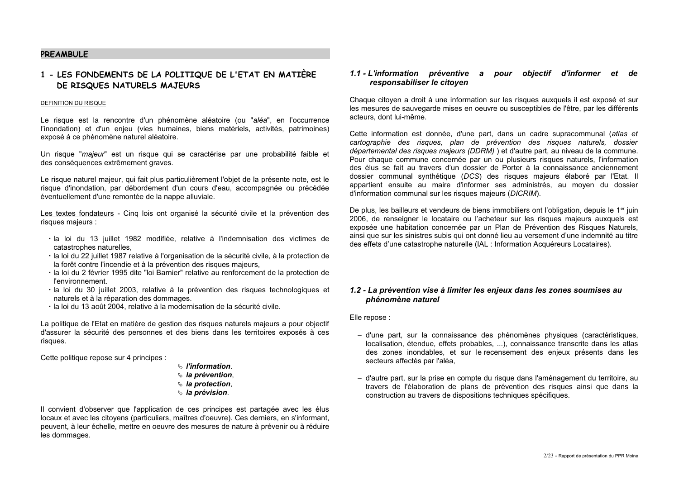### **PRFAMRULE**

# 1 - LES FONDEMENTS DE LA POLITIQUE DE L'ETAT EN MATIÈRE DE RISQUES NATURELS MAJEURS

#### DEFINITION DU RISQUE

Le risque est la rencontre d'un phénomène aléatoire (ou "aléa", en l'occurrence l'inondation) et d'un enjeu (vies humaines, biens matériels, activités, patrimoines) exposé à ce phénomène naturel aléatoire.

Un risque "majeur" est un risque qui se caractérise par une probabilité faible et des conséquences extrêmement graves.

Le risque naturel maieur, qui fait plus particulièrement l'obiet de la présente note, est le risque d'inondation, par débordement d'un cours d'eau, accompagnée ou précédée éventuellement d'une remontée de la nappe alluviale.

Les textes fondateurs - Cinq lois ont organisé la sécurité civile et la prévention des risques majeurs :

- · la loi du 13 juillet 1982 modifiée, relative à l'indemnisation des victimes de catastrophes naturelles.
- · la loi du 22 juillet 1987 relative à l'organisation de la sécurité civile, à la protection de la forêt contre l'incendie et à la prévention des risques majeurs,
- · la loi du 2 février 1995 dite "loi Barnier" relative au renforcement de la protection de *l'environnement*
- · la loi du 30 juillet 2003, relative à la prévention des risques technologiques et naturels et à la réparation des dommages.
- · la loi du 13 août 2004, relative à la modernisation de la sécurité civile.

La politique de l'Etat en matière de gestion des risques naturels majeurs a pour objectif d'assurer la sécurité des personnes et des biens dans les territoires exposés à ces risques.

Cette politique repose sur 4 principes :

- $\mathfrak{g}$  l'information
- $\mathfrak{g}$  la prévention.
- $\mathfrak{g}$  la protection,
- ↓ la prévision.

Il convient d'observer que l'application de ces principes est partagée avec les élus locaux et avec les citoyens (particuliers, maîtres d'oeuvre). Ces derniers, en s'informant, peuvent, à leur échelle, mettre en oeuvre des mesures de nature à prévenir ou à réduire les dommages.

#### 1.1 - L'information préventive a pour objectif d'informer et de responsabiliser le citoven

Chaque citoven a droit à une information sur les risques auxquels il est exposé et sur les mesures de sauvegarde mises en oeuvre ou susceptibles de l'être, par les différents acteurs, dont lui-même.

Cette information est donnée, d'une part, dans un cadre supracommunal (atlas et cartographie des risques, plan de prévention des risques naturels, dossier départemental des risques majeurs (DDRM) ) et d'autre part, au niveau de la commune. Pour chaque commune concernée par un ou plusieurs risques naturels, l'information des élus se fait au travers d'un dossier de Porter à la connaissance anciennement dossier communal synthétique (DCS) des risques majeurs élaboré par l'Etat. Il appartient ensuite au maire d'informer ses administrés, au moyen du dossier d'information communal sur les risques majeurs (DICRIM).

De plus, les bailleurs et vendeurs de biens immobiliers ont l'obligation, depuis le 1<sup>er</sup> juin 2006, de renseigner le locataire ou l'acheteur sur les risques maieurs auxquels est exposée une habitation concernée par un Plan de Prévention des Risques Naturels, ainsi que sur les sinistres subis qui ont donné lieu au versement d'une indemnité au titre des effets d'une catastrophe naturelle (IAL : Information Acquéreurs Locataires).

#### 1.2 - La prévention vise à limiter les enjeux dans les zones soumises au phénomène naturel

Elle repose :

- d'une part, sur la connaissance des phénomènes physiques (caractéristiques, localisation, étendue, effets probables, ...), connaissance transcrite dans les atlas des zones inondables, et sur le recensement des enieux présents dans les secteurs affectés par l'aléa,
- d'autre part, sur la prise en compte du risque dans l'aménagement du territoire, au travers de l'élaboration de plans de prévention des risques ainsi que dans la construction au travers de dispositions techniques spécifiques.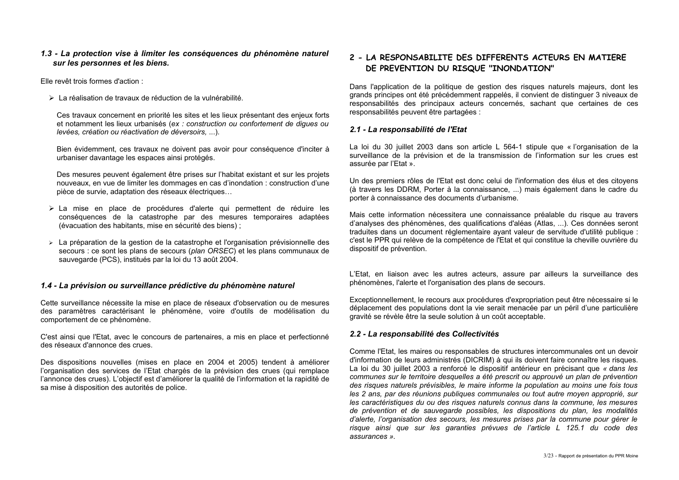### 1.3 - La protection vise à limiter les conséquences du phénomène naturel sur les personnes et les biens.

File revêt trois formes d'action :

> La réalisation de travaux de réduction de la vulnérabilité.

Ces travaux concernent en priorité les sites et les lieux présentant des enjeux forts et notamment les lieux urbanisés (ex : construction ou confortement de diques ou levées, création ou réactivation de déversoirs....).

Bien évidemment, ces travaux ne doivent pas avoir pour conséquence d'inciter à urbaniser davantage les espaces ainsi protégés.

Des mesures peuvent également être prises sur l'habitat existant et sur les projets nouveaux, en vue de limiter les dommages en cas d'inondation : construction d'une pièce de survie, adaptation des réseaux électriques...

- > La mise en place de procédures d'alerte qui permettent de réduire les conséquences de la catastrophe par des mesures temporaires adaptées (évacuation des habitants, mise en sécurité des biens);
- > La préparation de la gestion de la catastrophe et l'organisation prévisionnelle des secours : ce sont les plans de secours (plan ORSEC) et les plans communaux de sauvegarde (PCS), institués par la loi du 13 août 2004.

### 1.4 - La prévision ou surveillance prédictive du phénomène naturel

Cette surveillance nécessite la mise en place de réseaux d'observation ou de mesures des paramètres caractérisant le phénomène, voire d'outils de modélisation du comportement de ce phénomène.

C'est ainsi que l'Etat, avec le concours de partenaires, a mis en place et perfectionné des réseaux d'annonce des crues

Des dispositions nouvelles (mises en place en 2004 et 2005) tendent à améliorer l'organisation des services de l'Etat chargés de la prévision des crues (qui remplace l'annonce des crues). L'objectif est d'améliorer la qualité de l'information et la rapidité de sa mise à disposition des autorités de police.

# 2 - LA RESPONSABILITE DES DIFFERENTS ACTEURS EN MATIERE DE PREVENTION DU RISQUE "INONDATION"

Dans l'application de la politique de gestion des risques naturels majeurs, dont les grands principes ont été précédemment rappelés, il convient de distinguer 3 niveaux de responsabilités des principaux acteurs concernés, sachant que certaines de ces responsabilités peuvent être partagées :

### 2.1 - La responsabilité de l'Etat

La loi du 30 juillet 2003 dans son article L 564-1 stipule que « l'organisation de la surveillance de la prévision et de la transmission de l'information sur les crues est assurée par l'Etat ».

Un des premiers rôles de l'Etat est donc celui de l'information des élus et des citoyens (à travers les DDRM. Porter à la connaissance. ...) mais également dans le cadre du porter à connaissance des documents d'urbanisme.

Mais cette information nécessitera une connaissance préalable du risque au travers d'analyses des phénomènes, des qualifications d'aléas (Atlas, ...). Ces données seront traduites dans un document réglementaire ayant valeur de servitude d'utilité publique : c'est le PPR qui relève de la compétence de l'Etat et qui constitue la cheville ouvrière du dispositif de prévention.

L'Etat, en liaison avec les autres acteurs, assure par ailleurs la surveillance des phénomènes, l'alerte et l'organisation des plans de secours.

Exceptionnellement, le recours aux procédures d'expropriation peut être nécessaire si le déplacement des populations dont la vie serait menacée par un péril d'une particulière oravité se révèle être la seule solution à un coût acceptable.

### 2.2 - La responsabilité des Collectivités

Comme l'Etat. les maires ou responsables de structures intercommunales ont un devoir d'information de leurs administrés (DICRIM) à qui ils doivent faire connaître les risques. La loi du 30 juillet 2003 a renforce le dispositif antérieur en précisant que « dans les communes sur le territoire desquelles a été prescrit ou approuvé un plan de prévention des risques naturels prévisibles, le maire informe la population au moins une fois tous les 2 ans, par des réunions publiques communales ou tout autre moyen approprié, sur les caractéristiques du ou des risques naturels connus dans la commune. les mesures de prévention et de sauvegarde possibles, les dispositions du plan, les modalités d'alerte. l'organisation des secours, les mesures prises par la commune pour gérer le risque ainsi que sur les garanties prévues de l'article L 125.1 du code des  $\overline{\mathsf{assurances}}$  »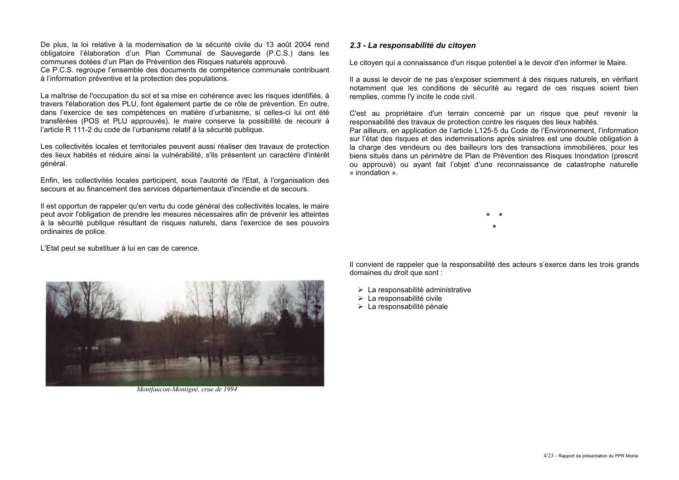De plus, la loi relative à la modernisation de la sécurité civile du 13 août 2004 rend obligatoire l'élaboration d'un Plan Communal de Sauvegarde (P.C.S.) dans les communes dotées d'un Plan de Prévention des Risques naturels approuvé.

Ce P.C.S. regroupe l'ensemble des documents de compétence communale contribuant à l'information préventive et la protection des populations.

La maîtrise de l'occupation du sol et sa mise en cohérence avec les risques identifiés, à travers l'élaboration des PLU, font également partie de ce rôle de prévention. En outre, dans l'exercice de ses compétences en matière d'urbanisme, si celles-ci lui ont été transférées (POS et PLU approuvés), le maire conserve la possibilité de recourir à l'article R 111-2 du code de l'urbanisme relatif à la sécurité publique.

Les collectivités locales et territoriales peuvent aussi réaliser des travaux de protection des lieux habités et réduire ainsi la vulnérabilité, s'ils présentent un caractère d'intérêt général.

Enfin, les collectivités locales participent, sous l'autorité de l'Etat, à l'organisation des secours et au financement des services départementaux d'incendie et de secours.

Il est opportun de rappeler qu'en vertu du code général des collectivités locales, le maire peut avoir l'obligation de prendre les mesures nécessaires afin de prévenir les atteintes à la sécurité publique résultant de risques naturels, dans l'exercice de ses pouvoirs ordinaires de police.

L'Etat peut se substituer à lui en cas de carence.



Montfaucon-Montigné, crue de 1994

### 2.3 - La responsabilité du citoven

Le citoyen qui a connaissance d'un risque potentiel a le devoir d'en informer le Maire.

Il a aussi le devoir de ne pas s'exposer sciemment à des risques naturels, en vérifiant notamment que les conditions de sécurité au regard de ces risques soient bien remplies, comme l'y incite le code civil.

C'est au propriétaire d'un terrain concerné par un risque que peut revenir la responsabilité des travaux de protection contre les risques des lieux habités.

Par ailleurs, en application de l'article L125-5 du Code de l'Environnement, l'information sur l'état des risques et des indemnisations après sinistres est une double obligation à la charge des vendeurs ou des bailleurs lors des transactions immobilières. pour les biens situés dans un périmètre de Plan de Prévention des Risques Inondation (prescrit ou approuvé) ou avant fait l'objet d'une reconnaissance de catastrophe naturelle  $\frac{1}{x}$  inondation  $\frac{1}{x}$ 

Il convient de rappeler que la responsabilité des acteurs s'exerce dans les trois grands domaines du droit que sont :

- > La responsabilité administrative
- $\triangleright$  La responsabilité civile
- > La responsabilité pénale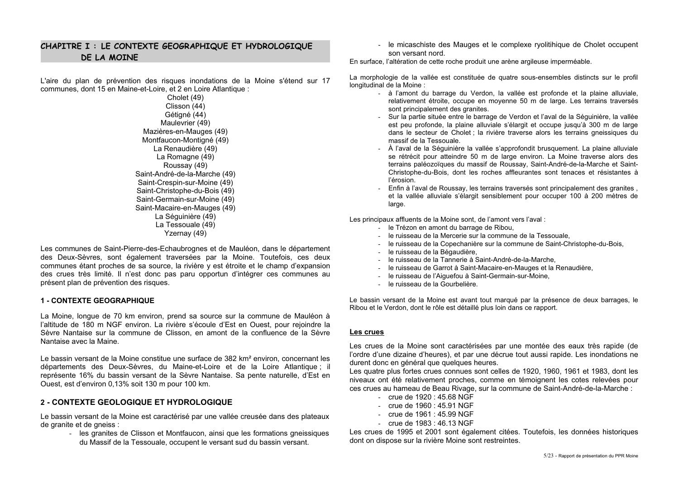# CHAPITRE I : LE CONTEXTE GEOGRAPHIQUE ET HYDROLOGIQUE DE LA MOINE

L'aire du plan de prévention des risques inondations de la Moine s'étend sur 17 communes, dont 15 en Maine-et-Loire, et 2 en Loire Atlantique :

Cholet (49) Clisson (44) Gétigné (44) Maulevrier (49) Mazières-en-Mauges (49) Montfaucon-Montigné (49) La Renaudière (49) La Romagne (49) Roussay (49) Saint-André-de-la-Marche (49) Saint-Crespin-sur-Moine (49) Saint-Christophe-du-Bois (49) Saint-Germain-sur-Moine (49) Saint-Macaire-en-Mauges (49) La Séquinière (49) La Tessouale (49) Yzernay (49)

Les communes de Saint-Pierre-des-Echaubrognes et de Mauléon, dans le département des Deux-Sèvres, sont également traversées par la Moine. Toutefois, ces deux communes étant proches de sa source, la rivière y est étroite et le champ d'expansion des crues très limité. Il n'est donc pas paru opportun d'intégrer ces communes au présent plan de prévention des risques.

### **1 - CONTEXTE GEOGRAPHIQUE**

La Moine, longue de 70 km environ, prend sa source sur la commune de Mauléon à l'altitude de 180 m NGF environ. La rivière s'écoule d'Est en Quest, pour rejoindre la Sèvre Nantaise sur la commune de Clisson, en amont de la confluence de la Sèvre Nantaise avec la Maine

Le bassin versant de la Moine constitue une surface de 382 km<sup>2</sup> environ, concernant les départements des Deux-Sèvres, du Maine-et-Loire et de la Loire Atlantique; il représente 16% du bassin versant de la Sèvre Nantaise. Sa pente naturelle, d'Est en Ouest, est d'environ 0,13% soit 130 m pour 100 km.

### 2 - CONTEXTE GEOLOGIQUE ET HYDROLOGIQUE

Le bassin versant de la Moine est caractérisé par une vallée creusée dans des plateaux de granite et de gneiss :

- les granites de Clisson et Montfaucon, ainsi que les formations gneissiques du Massif de la Tessouale, occupent le versant sud du bassin versant.

- le micaschiste des Mauges et le complexe rvolitihique de Cholet occupent son versant nord.

En surface, l'altération de cette roche produit une arène argileuse imperméable.

La morphologie de la vallée est constituée de quatre sous-ensembles distincts sur le profil longitudinal de la Moine:

- à l'amont du barrage du Verdon, la vallée est profonde et la plaine alluviale, relativement étroite. occupe en movenne 50 m de large. Les terrains traversés sont principalement des granites.
- Sur la partie située entre le barrage de Verdon et l'aval de la Séguinière, la vallée est peu profonde, la plaine alluviale s'élargit et occupe jusqu'à 300 m de large dans le secteur de Cholet : la rivière traverse alors les terrains gneissiques du massif de la Tessouale.
- À l'aval de la Séquinière la vallée s'approfondit brusquement. La plaine alluviale se rétrécit pour atteindre 50 m de large environ. La Moine traverse alors des terrains paléozoïques du massif de Roussay, Saint-André-de-la-Marche et Saint-Christophe-du-Bois, dont les roches affleurantes sont tenaces et résistantes à l'érosion.
- Enfin à l'aval de Roussay, les terrains traversés sont principalement des granites.  $\mathbf{r}$ et la vallée alluviale s'élargit sensiblement pour occuper 100 à 200 mètres de large.

Les principaux affluents de la Moine sont, de l'amont vers l'aval :

- le Trézon en amont du barrage de Ribou.
- le ruisseau de la Mercerie sur la commune de la Tessouale,
- le ruisseau de la Copechanière sur la commune de Saint-Christophe-du-Bois.
- le ruisseau de la Bégaudière.
- le ruisseau de la Tannerie à Saint-André-de-la-Marche.
- le ruisseau de Garrot à Saint-Macaire-en-Mauges et la Renaudière.
- le ruisseau de l'Aiguefou à Saint-Germain-sur-Moine.
- le ruisseau de la Gourbelière.

Le bassin versant de la Moine est avant tout marqué par la présence de deux barrages, le Ribou et le Verdon, dont le rôle est détaillé plus loin dans ce rapport.

#### Les crues

Les crues de la Moine sont caractérisées par une montée des eaux très rapide (de l'ordre d'une dizaine d'heures), et par une décrue tout aussi rapide. Les inondations ne durent donc en général que quelques heures.

Les quatre plus fortes crues connues sont celles de 1920, 1960, 1961 et 1983, dont les niveaux ont été relativement proches, comme en témoignent les cotes relevées pour ces crues au hameau de Beau Rivage, sur la commune de Saint-André-de-la-Marche :

- crue de  $1920 : 45.68 \text{ NGF}$
- crue de 1960 : 45.91 NGF
- crue de 1961  $\cdot$  45.99 NGF
- crue de  $1983 : 46.13 \text{ NGF}$

Les crues de 1995 et 2001 sont également citées. Toutefois, les données historiques dont on dispose sur la rivière Moine sont restreintes.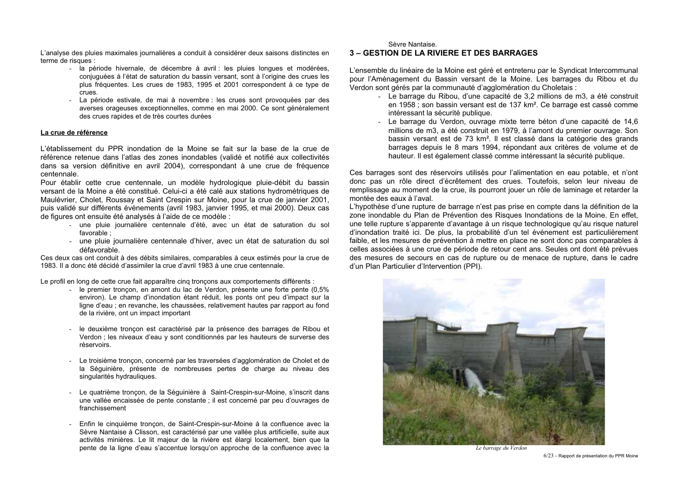L'analyse des pluies maximales journalières a conduit à considérer deux saisons distinctes en terme de risques :

- la période hivernale, de décembre à avril : les pluies longues et modérées, conjuguées à l'état de saturation du bassin versant, sont à l'origine des crues les plus fréquentes. Les crues de 1983, 1995 et 2001 correspondent à ce type de crues.
- La période estivale, de mai à novembre : les crues sont provoquées par des averses orageuses exceptionnelles, comme en mai 2000. Ce sont généralement des crues rapides et de très courtes durées

#### La crue de référence

L'établissement du PPR inondation de la Moine se fait sur la base de la crue de référence retenue dans l'atlas des zones inondables (validé et notifié aux collectivités dans sa version définitive en avril 2004), correspondant à une crue de fréquence centennale.

Pour établir cette crue centennale, un modèle hydrologique pluie-débit du bassin versant de la Moine a été constitué. Celui-ci a été calé aux stations hydrométriques de Maulévrier, Cholet, Roussay et Saint Crespin sur Moine, pour la crue de janvier 2001, puis validé sur différents évènements (avril 1983, janvier 1995, et mai 2000). Deux cas de figures ont ensuite été analysés à l'aide de ce modèle :

- une pluie journalière centennale d'été, avec un état de saturation du sol favorable:
- une pluie journalière centennale d'hiver, avec un état de saturation du sol défavorable.

Ces deux cas ont conduit à des débits similaires, comparables à ceux estimés pour la crue de 1983. Il a donc été décidé d'assimiler la crue d'avril 1983 à une crue centennale

Le profil en long de cette crue fait apparaître cing troncons aux comportements différents :

- le premier troncon, en amont du lac de Verdon, présente une forte pente (0,5% environ). Le champ d'inondation étant réduit, les ponts ont peu d'impact sur la ligne d'eau : en revanche, les chaussées, relativement hautes par rapport au fond de la rivière, ont un impact important
- le deuxième troncon est caractérisé par la présence des barrages de Ribou et Verdon ; les niveaux d'eau y sont conditionnés par les hauteurs de surverse des réservoirs
- Le troisième tronçon, concerné par les traversées d'agglomération de Cholet et de la Séquinière, présente de nombreuses pertes de charge au niveau des singularités hydrauliques.
- Le quatrième troncon, de la Séquinière à Saint-Crespin-sur-Moine, s'inscrit dans une vallée encaissée de pente constante ; il est concerné par peu d'ouvrages de franchissement
- Enfin le cinquième troncon, de Saint-Crespin-sur-Moine à la confluence avec la Sèvre Nantaise à Clisson, est caractérisé par une vallée plus artificielle, suite aux activités minières. Le lit majeur de la rivière est élargi localement, bien que la pente de la ligne d'eau s'accentue lorsqu'on approche de la confluence avec la

Sèvre Nantaise

#### **3 - GESTION DE LA RIVIERE ET DES BARRAGES**

L'ensemble du linéaire de la Moine est géré et entretenu par le Syndicat Intercommunal pour l'Aménagement du Bassin versant de la Moine. Les barrages du Ribou et du Verdon sont gérés par la communauté d'agglomération du Choletais :

- Le barrage du Ribou. d'une capacité de 3.2 millions de m3, a été construit en 1958 : son bassin versant est de 137 km<sup>2</sup>. Ce barrage est cassé comme intéressant la sécurité publique.
- Le barrage du Verdon, ouvrage mixte terre béton d'une capacité de 14,6 millions de m3, a été construit en 1979, à l'amont du premier ouvrage. Son bassin versant est de 73 km<sup>2</sup>. Il est classé dans la catégorie des grands barrages depuis le 8 mars 1994, répondant aux critères de volume et de hauteur. Il est également classé comme intéressant la sécurité publique.

Ces barrages sont des réservoirs utilisés pour l'alimentation en eau potable, et n'ont donc pas un rôle direct d'écrêtement des crues. Toutefois, selon leur niveau de remplissage au moment de la crue, ils pourront jouer un rôle de laminage et retarder la montée des eaux à l'aval.

L'hypothèse d'une rupture de barrage n'est pas prise en compte dans la définition de la zone inondable du Plan de Prévention des Risques Inondations de la Moine. En effet, une telle rupture s'apparente d'avantage à un risque technologique qu'au risque naturel d'inondation traité ici. De plus, la probabilité d'un tel événement est particulièrement faible, et les mesures de prévention à mettre en place ne sont donc pas comparables à celles associées à une crue de période de retour cent ans. Seules ont dont été prévues des mesures de secours en cas de rupture ou de menace de rupture, dans le cadre d'un Plan Particulier d'Intervention (PPI).



Le barrage du Verdon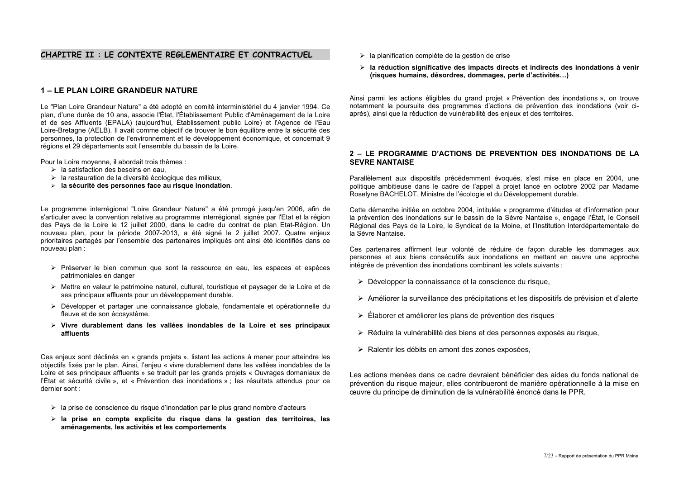### CHAPITRE II : LE CONTEXTE REGLEMENTAIRE ET CONTRACTUEL

### 1 - LE PLAN LOIRE GRANDEUR NATURE

Le "Plan Loire Grandeur Nature" a été adopté en comité interministériel du 4 janvier 1994. Ce plan, d'une durée de 10 ans, associe l'État, l'Établissement Public d'Aménagement de la Loire et de ses Affluents (EPALA) (aujourd'hui. Établissement public Loire) et l'Agence de l'Eau Loire-Bretagne (AELB). Il avait comme objectif de trouver le bon équilibre entre la sécurité des personnes, la protection de l'environnement et le développement économique, et concernait 9 régions et 29 départements soit l'ensemble du bassin de la Loire.

Pour la Loire moyenne, il abordait trois thèmes :

- $\triangleright$  la satisfaction des besoins en eau.
- > la restauration de la diversité écologique des milieux.
- > la sécurité des personnes face au risque inondation.

Le programme interrégional "Loire Grandeur Nature" a été prorogé jusqu'en 2006, afin de s'articuler avec la convention relative au programme interrégional, signée par l'Etat et la région des Pays de la Loire le 12 juillet 2000, dans le cadre du contrat de plan Etat-Région. Un nouveau plan, pour la période 2007-2013, a été signé le 2 juillet 2007. Quatre enjeux prioritaires partagés par l'ensemble des partenaires impliqués ont ainsi été identifiés dans ce nouveau plan:

- > Préserver le bien commun que sont la ressource en eau. Les espaces et espèces patrimoniales en danger
- > Mettre en valeur le patrimoine naturel, culturel, touristique et paysager de la Loire et de ses principaux affluents pour un développement durable.
- > Développer et partager une connaissance globale, fondamentale et opérationnelle du fleuve et de son écosystème.
- $\triangleright$  Vivre durablement dans les vallées inondables de la Loire et ses principaux affluents

Ces enjeux sont déclinés en « grands projets », listant les actions à mener pour atteindre les objectifs fixés par le plan. Ainsi, l'enjeu « vivre durablement dans les vallées inondables de la Loire et ses principaux affluents » se traduit par les grands projets « Ouvrages domaniaux de l'État et sécurité civile », et « Prévention des inondations » : les résultats attendus pour ce dernier sont :

- $\triangleright$  la prise de conscience du risque d'inondation par le plus grand nombre d'acteurs
- $\triangleright$  la prise en compte explicite du risque dans la gestion des territoires, les aménagements, les activités et les comportements
- > la planification complète de la gestion de crise
- > la réduction significative des impacts directs et indirects des inondations à venir (risques humains, désordres, dommages, perte d'activités...)

Ainsi parmi les actions éligibles du grand projet « Prévention des inondations », on trouve notamment la poursuite des programmes d'actions de prévention des inondations (voir ciaprès), ainsi que la réduction de vulnérabilité des enjeux et des territoires.

#### 2 - LE PROGRAMME D'ACTIONS DE PREVENTION DES INONDATIONS DE LA **SFVRF NANTAISF**

Parallèlement aux dispositifs précédemment évogués, s'est mise en place en 2004, une politique ambitieuse dans le cadre de l'appel à projet lancé en octobre 2002 par Madame Roselvne BACHELOT. Ministre de l'écologie et du Développement durable.

Cette démarche initiée en octobre 2004, intitulée « programme d'études et d'information pour la prévention des inondations sur le bassin de la Sèvre Nantaise », engage l'État, le Conseil Régional des Pays de la Loire, le Syndicat de la Moine, et l'Institution Interdépartementale de la Sèvre Nantaise.

Ces partenaires affirment leur volonté de réduire de façon durable les dommages aux personnes et aux biens consécutifs aux inondations en mettant en œuvre une approche intégrée de prévention des inondations combinant les volets suivants :

- > Développer la connaissance et la conscience du risque.
- > Améliorer la surveillance des précipitations et les dispositifs de prévision et d'alerte
- > Élaborer et améliorer les plans de prévention des risques
- > Réduire la vulnérabilité des biens et des personnes exposés au risque,
- > Ralentir les débits en amont des zones exposées,

Les actions menées dans ce cadre devraient bénéficier des aides du fonds national de prévention du risque majeur, elles contribueront de manière opérationnelle à la mise en œuvre du principe de diminution de la vulnérabilité énoncé dans le PPR.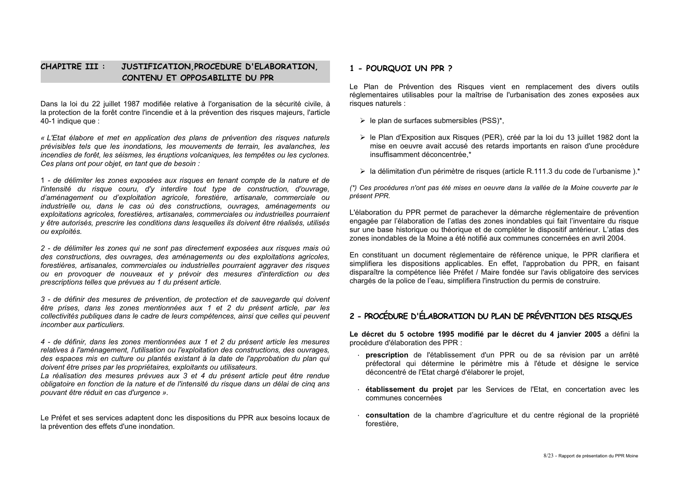#### **CHAPITRE III:** JUSTIFICATION PROCEDURE D'ELABORATION. CONTENU ET OPPOSABILITE DU PPR

Dans la loi du 22 juillet 1987 modifiée relative à l'organisation de la sécurité civile, à la protection de la forêt contre l'incendie et à la prévention des risques maieurs. l'article 40-1 indigue que :

« L'Etat élabore et met en application des plans de prévention des risques naturels prévisibles tels que les inondations, les mouvements de terrain, les avalanches, les incendies de forêt, les séismes, les éruptions volcaniques, les tempêtes ou les cyclones. Ces plans ont pour objet, en tant que de besoin :

1 - de délimiter les zones exposées aux risques en tenant compte de la nature et de l'intensité du risque couru, d'y interdire tout type de construction, d'ouvrage, d'aménagement ou d'exploitation agricole, forestière, artisanale, commerciale ou industrielle ou, dans le cas où des constructions, ouvrages, aménagements ou exploitations agricoles, forestières, artisanales, commerciales ou industrielles pourraient v être autorisés, prescrire les conditions dans lesquelles ils doivent être réalisés, utilisés ou exploités.

2 - de délimiter les zones qui ne sont pas directement exposées aux risques mais où des constructions, des ouvrages, des aménagements ou des exploitations agricoles. forestières, artisanales, commerciales ou industrielles pourraient aggraver des risques ou en provoquer de nouveaux et y prévoir des mesures d'interdiction ou des prescriptions telles que prévues au 1 du présent article.

3 - de définir des mesures de prévention, de protection et de sauvegarde qui doivent être prises, dans les zones mentionnées aux 1 et 2 du présent article, par les collectivités publiques dans le cadre de leurs compétences, ainsi que celles qui peuvent incomber aux particuliers.

4 - de définir, dans les zones mentionnées aux 1 et 2 du présent article les mesures relatives à l'aménagement. l'utilisation ou l'exploitation des constructions, des ouvrages. des espaces mis en culture ou plantés existant à la date de l'approbation du plan qui doivent être prises par les propriétaires, exploitants ou utilisateurs.

La réalisation des mesures prévues aux 3 et 4 du présent article peut être rendue obligatoire en fonction de la nature et de l'intensité du risque dans un délai de cinq ans pouvant être réduit en cas d'urgence ».

Le Préfet et ses services adaptent donc les dispositions du PPR aux besoins locaux de la prévention des effets d'une inondation.

### 1 - POURQUOI UN PPR ?

Le Plan de Prévention des Risques vient en remplacement des divers outils réglementaires utilisables pour la maîtrise de l'urbanisation des zones exposées aux risques naturels :

 $\triangleright$  le plan de surfaces submersibles (PSS)\*,

- > le Plan d'Exposition aux Risques (PER), créé par la loi du 13 juillet 1982 dont la mise en oeuvre avait accusé des retards importants en raison d'une procédure insuffisamment déconcentrée.\*
- > la délimitation d'un périmètre de risques (article R.111.3 du code de l'urbanisme).\*

(\*) Ces procédures n'ont pas été mises en oeuvre dans la vallée de la Moine couverte par le présent PPR.

L'élaboration du PPR permet de parachever la démarche réglementaire de prévention engagée par l'élaboration de l'atlas des zones inondables qui fait l'inventaire du risque sur une base historique ou théorique et de compléter le dispositif antérieur. L'atlas des zones inondables de la Moine a été notifié aux communes concernées en avril 2004.

En constituant un document réglementaire de référence unique, le PPR clarifiera et simplifiera les dispositions applicables. En effet, l'approbation du PPR, en faisant disparaître la compétence liée Préfet / Maire fondée sur l'avis obligatoire des services chargés de la police de l'eau, simplifiera l'instruction du permis de construire.

# 2 - PROCÉDURE D'ÉLABORATION DU PLAN DE PRÉVENTION DES RISQUES

Le décret du 5 octobre 1995 modifié par le décret du 4 janvier 2005 a défini la procédure d'élaboration des PPR :

- prescription de l'établissement d'un PPR ou de sa révision par un arrêté préfectoral qui détermine le périmètre mis à l'étude et désigne le service déconcentré de l'Etat chargé d'élaborer le projet.
- établissement du projet par les Services de l'Etat, en concertation avec les communes concernées
- · consultation de la chambre d'agriculture et du centre régional de la propriété forestière,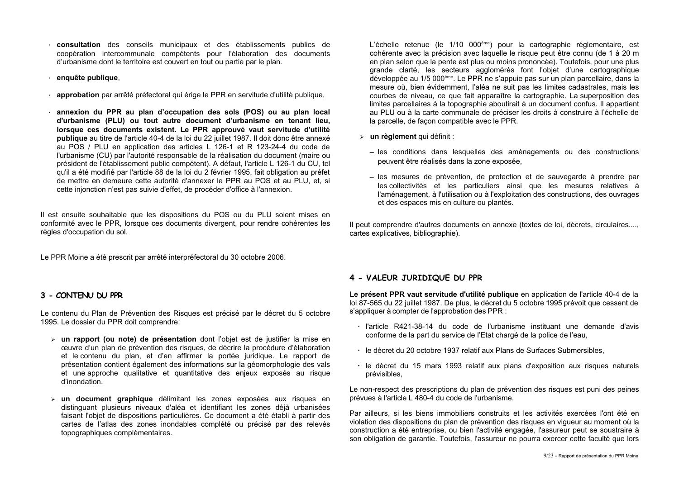- · consultation des conseils municipaux et des établissements publics de coopération intercommunale compétents pour l'élaboration des documents d'urbanisme dont le territoire est couvert en tout ou partie par le plan.
- · enquête publique,
- · approbation par arrêté préfectoral qui érige le PPR en servitude d'utilité publique.
- annexion du PPR au plan d'occupation des sols (POS) ou au plan local d'urbanisme (PLU) ou tout autre document d'urbanisme en tenant lieu, lorsque ces documents existent. Le PPR approuvé vaut servitude d'utilité publique au titre de l'article 40-4 de la loi du 22 juillet 1987. Il doit donc être annexé au POS / PLU en application des articles L 126-1 et R 123-24-4 du code de l'urbanisme (CU) par l'autorité responsable de la réalisation du document (maire ou président de l'établissement public compétent). A défaut, l'article L 126-1 du CU, tel qu'il a été modifié par l'article 88 de la loi du 2 février 1995, fait obligation au préfet de mettre en demeure cette autorité d'annexer le PPR au POS et au PLU, et, si cette injonction n'est pas suivie d'effet, de procéder d'office à l'annexion.

Il est ensuite souhaitable que les dispositions du POS ou du PLU soient mises en conformité avec le PPR, lorsque ces documents divergent, pour rendre cohérentes les règles d'occupation du sol.

Le PPR Moine a été prescrit par arrêté interpréfectoral du 30 octobre 2006.

### 3 - CONTENU DU PPR

Le contenu du Plan de Prévention des Risques est précisé par le décret du 5 octobre 1995. Le dossier du PPR doit comprendre:

- > un rapport (ou note) de présentation dont l'objet est de justifier la mise en œuvre d'un plan de prévention des risques, de décrire la procédure d'élaboration et le contenu du plan, et d'en affirmer la portée juridique. Le rapport de présentation contient également des informations sur la géomorphologie des vals et une approche qualitative et quantitative des enjeux exposés au risque d'inondation
- > un document graphique délimitant les zones exposées aux risques en distinguant plusieurs niveaux d'aléa et identifiant les zones déjà urbanisées faisant l'objet de dispositions particulières. Ce document a été établi à partir des cartes de l'atlas des zones inondables complété ou précisé par des relevés topographiques complémentaires.

L'échelle retenue (le 1/10 000<sup>ème</sup>) pour la cartographie réglementaire, est cohérente avec la précision avec laquelle le risque peut être connu (de 1 à 20 m en plan selon que la pente est plus ou moins prononcée). Toutefois, pour une plus grande clarté. les secteurs agglomérés font l'obiet d'une cartographique développée au 1/5 000<sup>ème</sup>. Le PPR ne s'appuie pas sur un plan parcellaire, dans la mesure où, bien évidemment, l'aléa ne suit pas les limites cadastrales, mais les courbes de niveau, ce que fait apparaître la cartographie. La superposition des limites parcellaires à la topographie aboutirait à un document confus. Il appartient au PLU ou à la carte communale de préciser les droits à construire à l'échelle de la parcelle, de façon compatible avec le PPR.

- > un rèalement qui définit :
	- les conditions dans lesquelles des aménagements ou des constructions peuvent être réalisés dans la zone exposée.
	- les mesures de prévention, de protection et de sauvegarde à prendre par les collectivités et les particuliers ainsi que les mesures relatives à l'aménagement, à l'utilisation ou à l'exploitation des constructions, des ouvrages et des espaces mis en culture ou plantés.

Il peut comprendre d'autres documents en annexe (textes de loi, décrets, circulaires...., cartes explicatives, bibliographie).

### 4 - VALEUR JURIDIQUE DU PPR

Le présent PPR vaut servitude d'utilité publique en application de l'article 40-4 de la loi 87-565 du 22 juillet 1987. De plus, le décret du 5 octobre 1995 prévoit que cessent de s'appliquer à compter de l'approbation des PPR :

- · l'article R421-38-14 du code de l'urbanisme instituant une demande d'avis conforme de la part du service de l'Etat chargé de la police de l'eau,
- · le décret du 20 octobre 1937 relatif aux Plans de Surfaces Submersibles.
- · le décret du 15 mars 1993 relatif aux plans d'exposition aux risques naturels prévisibles.

Le non-respect des prescriptions du plan de prévention des risques est puni des peines prévues à l'article L 480-4 du code de l'urbanisme.

Par ailleurs, si les biens immobiliers construits et les activités exercées l'ont été en violation des dispositions du plan de prévention des risques en viqueur au moment où la construction a été entreprise, ou bien l'activité engagée. l'assureur peut se soustraire à son obligation de garantie. Toutefois, l'assureur ne pourra exercer cette faculté que lors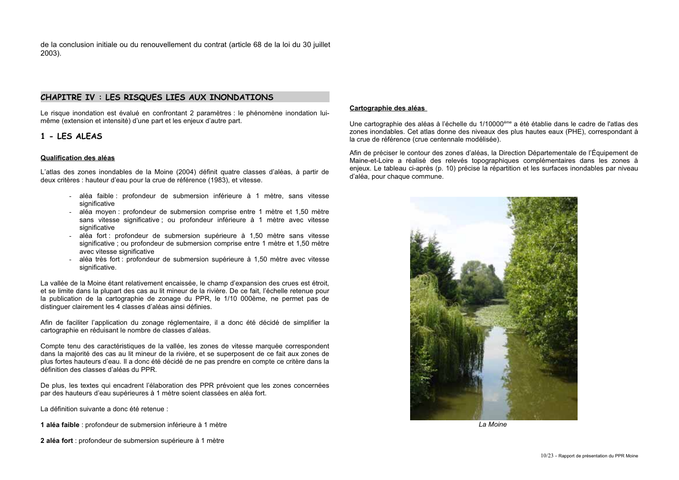de la conclusion initiale ou du renouvellement du contrat (article 68 de la loi du 30 juillet  $2003$ ).

### CHAPITRE IV : LES RISQUES LIES AUX INONDATIONS

Le risque inondation est évalué en confrontant 2 paramètres : le phénomène inondation luimême (extension et intensité) d'une part et les enjeux d'autre part.

### 1 - LES ALEAS

#### Qualification des aléas

L'atlas des zones inondables de la Moine (2004) définit quatre classes d'aléas, à partir de deux critères : hauteur d'eau pour la crue de référence (1983), et vitesse.

- aléa faible : profondeur de submersion inférieure à 1 mètre, sans vitesse significative
- aléa moven : profondeur de submersion comprise entre 1 mètre et 1.50 mètre  $\sim$ sans vitesse significative; ou profondeur inférieure à 1 mètre avec vitesse significative
- aléa fort : profondeur de submersion supérieure à 1,50 mètre sans vitesse significative ; ou profondeur de submersion comprise entre 1 mètre et 1,50 mètre avec vitesse significative
- aléa très fort : profondeur de submersion supérieure à 1,50 mètre avec vitesse significative.

La vallée de la Moine étant relativement encaissée, le champ d'expansion des crues est étroit, et se limite dans la plupart des cas au lit mineur de la rivière. De ce fait, l'échelle retenue pour la publication de la cartographie de zonage du PPR, le 1/10 000ème, ne permet pas de distinguer clairement les 4 classes d'aléas ainsi définies.

Afin de faciliter l'application du zonage réglementaire, il a donc été décidé de simplifier la cartographie en réduisant le nombre de classes d'aléas.

Compte tenu des caractéristiques de la vallée, les zones de vitesse marquée correspondent dans la majorité des cas au lit mineur de la rivière, et se superposent de ce fait aux zones de plus fortes hauteurs d'eau. Il a donc été décidé de ne pas prendre en compte ce critère dans la définition des classes d'aléas du PPR

De plus, les textes qui encadrent l'élaboration des PPR prévoient que les zones concernées par des hauteurs d'eau supérieures à 1 mètre soient classées en aléa fort.

La définition suivante a donc été retenue :

- 1 aléa faible : profondeur de submersion inférieure à 1 mètre
- 2 aléa fort : profondeur de submersion supérieure à 1 mètre

#### Cartographie des aléas

Une cartographie des aléas à l'échelle du 1/10000<sup>ème</sup> a été établie dans le cadre de l'atlas des zones inondables. Cet atlas donne des niveaux des plus hautes eaux (PHE), correspondant à la crue de référence (crue centennale modélisée).

Afin de préciser le contour des zones d'aléas, la Direction Départementale de l'Équipement de Maine-et-Loire a réalisé des relevés topographiques complémentaires dans les zones à enjeux. Le tableau ci-après (p. 10) précise la répartition et les surfaces inondables par niveau d'aléa, pour chaque commune.



La Moine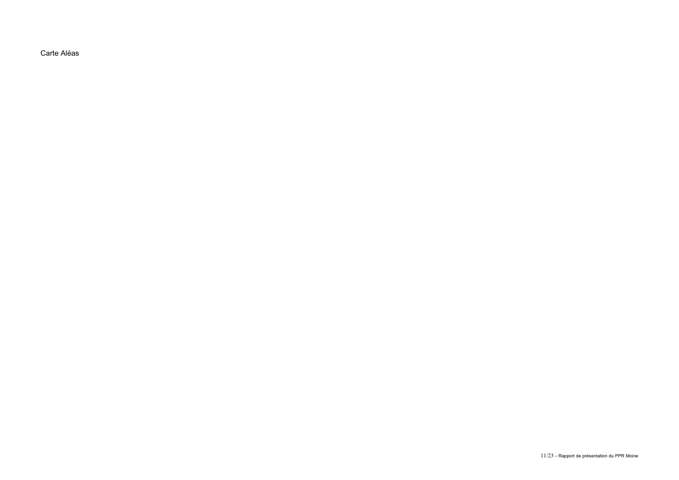Carte Aléas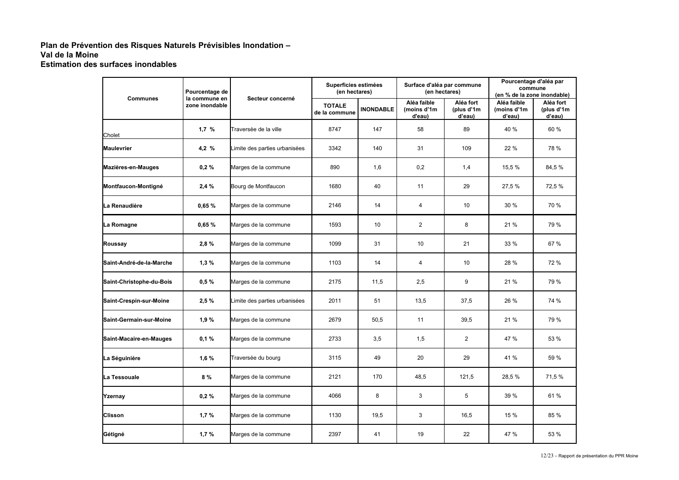### Plan de Prévention des Risques Naturels Prévisibles Inondation -Val de la Moine **Estimation des surfaces inondables**

| Pourcentage de<br>la commune en |                                   |                               | Superficies estimées<br>(en hectares) |                  | Surface d'aléa par commune<br>(en hectares) |                                   | Pourcentage d'aléa par<br>commune<br>(en % de la zone inondable) |                                   |
|---------------------------------|-----------------------------------|-------------------------------|---------------------------------------|------------------|---------------------------------------------|-----------------------------------|------------------------------------------------------------------|-----------------------------------|
|                                 | <b>Communes</b><br>zone inondable | Secteur concerné              | <b>TOTALE</b><br>de la commune        | <b>INONDABLE</b> | Aléa faible<br>(moins d'1m<br>d'eau)        | Aléa fort<br>(plus d'1m<br>d'eau) | Aléa faible<br>(moins d'1m<br>d'eau)                             | Aléa fort<br>(plus d'1m<br>d'eau) |
| Cholet                          | 1.7%                              | Traversée de la ville         | 8747                                  | 147              | 58                                          | 89                                | 40 %                                                             | 60 %                              |
| Maulevrier                      | 4,2%                              | Limite des parties urbanisées | 3342                                  | 140              | 31                                          | 109                               | 22 %                                                             | 78 %                              |
| Mazières-en-Mauges              | 0,2%                              | Marges de la commune          | 890                                   | 1,6              | 0,2                                         | 1,4                               | 15,5 %                                                           | 84,5 %                            |
| Montfaucon-Montigné             | 2,4%                              | Bourg de Montfaucon           | 1680                                  | 40               | 11                                          | 29                                | 27,5 %                                                           | 72,5 %                            |
| La Renaudière                   | 0,65%                             | Marges de la commune          | 2146                                  | 14               | 4                                           | 10                                | 30 %                                                             | 70 %                              |
| La Romagne                      | 0,65%                             | Marges de la commune          | 1593                                  | 10               | 2                                           | 8                                 | 21 %                                                             | 79 %                              |
| Roussay                         | 2,8%                              | Marges de la commune          | 1099                                  | 31               | 10                                          | 21                                | 33 %                                                             | 67 %                              |
| Saint-André-de-la-Marche        | 1,3%                              | Marges de la commune          | 1103                                  | 14               | 4                                           | 10                                | 28 %                                                             | 72 %                              |
| Saint-Christophe-du-Bois        | 0,5%                              | Marges de la commune          | 2175                                  | 11,5             | 2,5                                         | 9                                 | 21 %                                                             | 79 %                              |
| Saint-Crespin-sur-Moine         | 2,5%                              | Limite des parties urbanisées | 2011                                  | 51               | 13,5                                        | 37,5                              | 26 %                                                             | 74 %                              |
| Saint-Germain-sur-Moine         | 1,9%                              | Marges de la commune          | 2679                                  | 50,5             | 11                                          | 39,5                              | 21 %                                                             | 79 %                              |
| Saint-Macaire-en-Mauges         | 0.1%                              | Marges de la commune          | 2733                                  | 3,5              | 1,5                                         | $\overline{2}$                    | 47 %                                                             | 53 %                              |
| La Séguinière                   | 1,6%                              | Traversée du bourg            | 3115                                  | 49               | 20                                          | 29                                | 41 %                                                             | 59 %                              |
| La Tessouale                    | 8%                                | Marges de la commune          | 2121                                  | 170              | 48,5                                        | 121,5                             | 28,5 %                                                           | 71,5%                             |
| Yzernay                         | 0,2%                              | Marges de la commune          | 4066                                  | 8                | 3                                           | 5                                 | 39 %                                                             | 61 %                              |
| Clisson                         | 1,7%                              | Marges de la commune          | 1130                                  | 19,5             | 3                                           | 16,5                              | 15 %                                                             | 85 %                              |
| Gétigné                         | 1,7%                              | Marges de la commune          | 2397                                  | 41               | 19                                          | 22                                | 47 %                                                             | 53 %                              |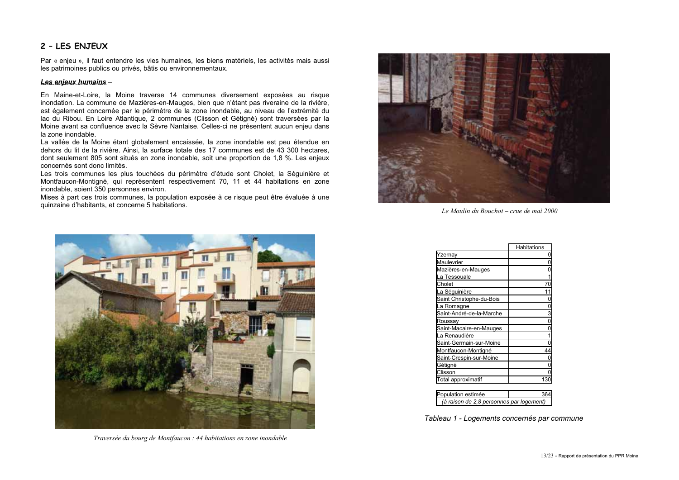### 2 - LES ENJEUX

Par « enjeu », il faut entendre les vies humaines, les biens matériels, les activités mais aussi les patrimoines publics ou privés, bâtis ou environnementaux.

#### Les enjeux humains -

En Maine-et-Loire, la Moine traverse 14 communes diversement exposées au risque inondation. La commune de Mazières-en-Mauges, bien que n'étant pas riveraine de la rivière, est également concernée par le périmètre de la zone inondable, au niveau de l'extrémité du lac du Ribou. En Loire Atlantique, 2 communes (Clisson et Gétigné) sont traversées par la Moine avant sa confluence avec la Sèvre Nantaise. Celles-ci ne présentent aucun enjeu dans la zone inondable.

La vallée de la Moine étant globalement encaissée. la zone inondable est peu étendue en dehors du lit de la rivière. Ainsi, la surface totale des 17 communes est de 43 300 hectares, dont seulement 805 sont situés en zone inondable, soit une proportion de 1.8 %. Les enjeux concernés sont donc limités.

Les trois communes les plus touchées du périmètre d'étude sont Cholet. la Séquinière et Montfaucon-Montigné, qui représentent respectivement 70, 11 et 44 habitations en zone inondable, soient 350 personnes environ.

Mises à part ces trois communes. la population exposée à ce risque peut être évaluée à une quinzaine d'habitants, et concerne 5 habitations.



Le Moulin du Bouchot – crue de mai 2000



Traversée du bourg de Montfaucon : 44 habitations en zone inondable

|                          | Habitations |
|--------------------------|-------------|
| Yzernay                  |             |
| Maulevrier               |             |
| Mazières-en-Mauges       |             |
| La Tessouale             |             |
| Cholet                   |             |
| La Séguinière            |             |
| Saint Christophe-du-Bois |             |
| La Romagne               |             |
| Saint-André-de-la-Marche |             |
| Roussay                  |             |
| Saint-Macaire-en-Mauges  |             |
| La Renaudière            |             |
| Saint-Germain-sur-Moine  |             |
| Montfaucon-Montigné      |             |
| Saint-Crespin-sur-Moine  |             |
| Gétigné                  |             |
| Clisson                  |             |
| Total approximatif       | 13          |

| opulation estimée                        | 36 |
|------------------------------------------|----|
| (à raison de 2,8 personnes par logement) |    |

Tableau 1 - Logements concernés par commune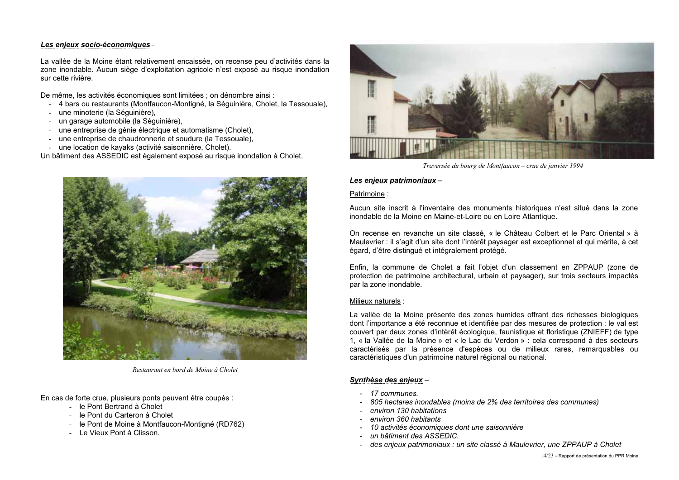### Les enjeux socio-économiques-

La vallée de la Moine étant relativement encaissée, on recense peu d'activités dans la zone inondable. Aucun siège d'exploitation agricole n'est exposé au risque inondation sur cette rivière

De même, les activités économiques sont limitées : on dénombre ainsi :

- 4 bars ou restaurants (Montfaucon-Montigné, la Séguinière, Cholet, la Tessouale),
- une minoterie (la Séquinière).
- un garage automobile (la Séguinière).
- une entreprise de génie électrique et automatisme (Cholet).
- une entreprise de chaudronnerie et soudure (la Tessouale).
- une location de kayaks (activité saisonnière, Cholet).

Un bâtiment des ASSEDIC est également exposé au risque inondation à Cholet.



Restaurant en hord de Moine à Cholet

En cas de forte crue, plusieurs ponts peuvent être coupés :

- le Pont Bertrand à Cholet
- le Pont du Carteron à Cholet
- le Pont de Moine à Montfaucon-Montigné (RD762)
- Le Vieux Pont à Clisson.



Traversée du bourg de Montfaucon – crue de janvier 1994

#### Les enjeux patrimoniaux -

#### Patrimoine:

Aucun site inscrit à l'inventaire des monuments historiques n'est situé dans la zone inondable de la Moine en Maine-et-Loire ou en Loire Atlantique.

On recense en revanche un site classé, « le Château Colbert et le Parc Oriental » à Maulevrier : il s'agit d'un site dont l'intérêt paysager est exceptionnel et qui mérite, à cet égard, d'être distingué et intégralement protégé.

Enfin, la commune de Cholet a fait l'objet d'un classement en ZPPAUP (zone de protection de patrimoine architectural, urbain et paysager), sur trois secteurs impactés par la zone inondable.

### Milieux naturels :

La vallée de la Moine présente des zones humides offrant des richesses biologiques dont l'importance a été reconnue et identifiée par des mesures de protection : le val est couvert par deux zones d'intérêt écologique, faunistique et floristique (ZNIEFF) de type 1, « la Vallée de la Moine » et « le Lac du Verdon » : cela correspond à des secteurs caractérisés par la présence d'espèces ou de milieux rares, remarquables ou caractéristiques d'un patrimoine naturel régional ou national.

### Svnthèse des enieux-

- 17 communes
- 805 hectares inondables (moins de 2% des territoires des communes)
- environ 130 habitations
- environ 360 habitants
- 10 activités économiques dont une saisonnière
- un bâtiment des ASSEDIC
- des enjeux patrimoniaux : un site classé à Maulevrier, une ZPPAUP à Cholet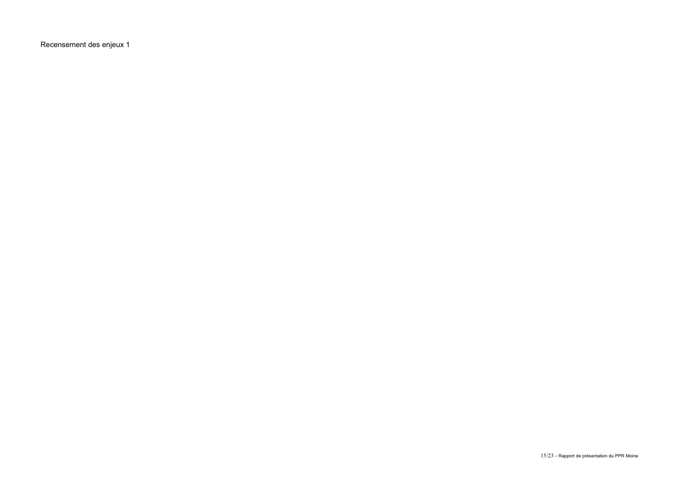Recensement des enjeux 1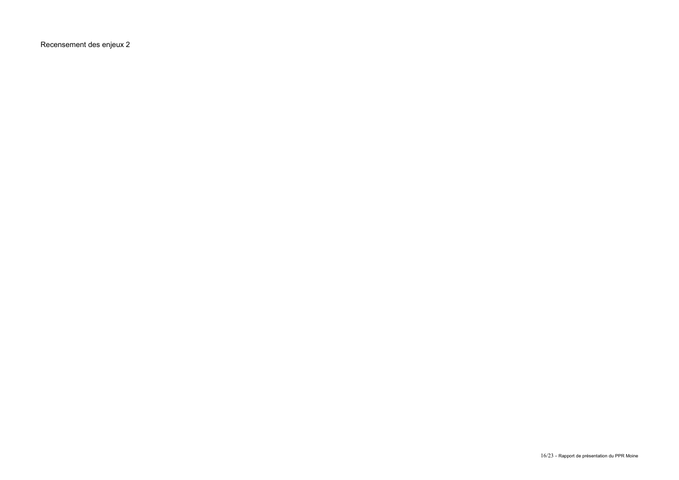Recensement des enjeux 2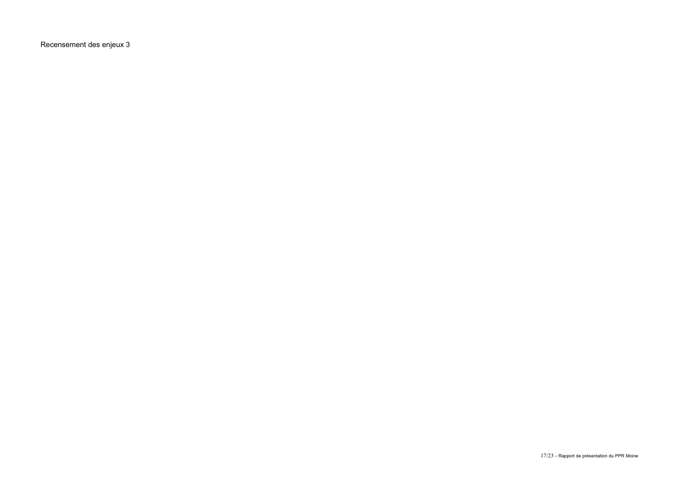Recensement des enjeux 3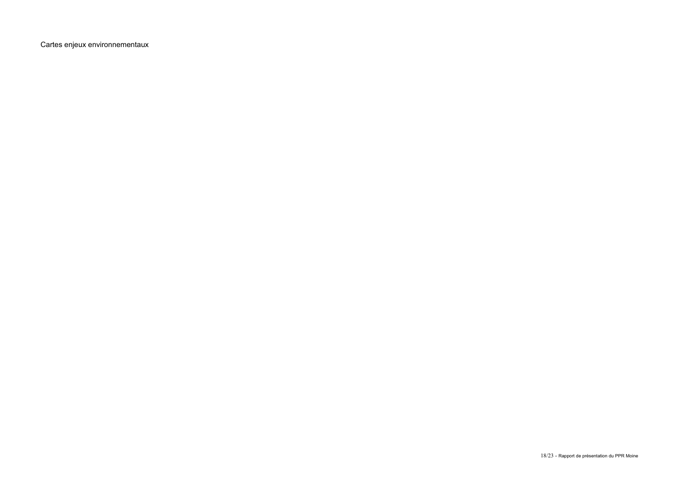Cartes enjeux environnementaux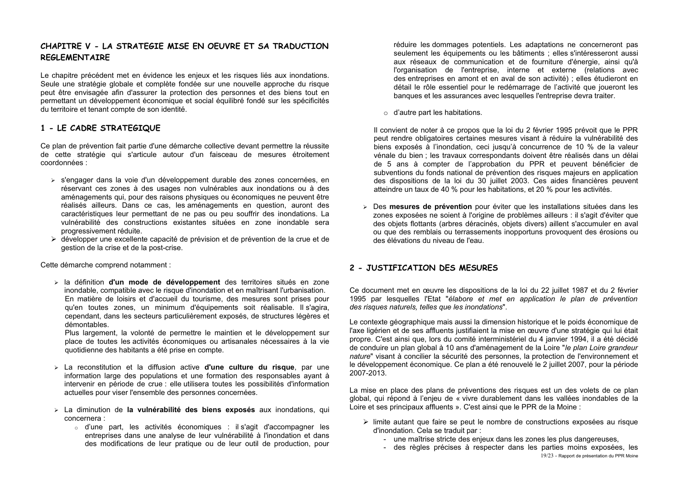# CHAPITRE V - LA STRATEGIE MISE EN OEUVRE ET SA TRADUCTION **RFGLFMFNTATRF**

Le chapitre précédent met en évidence les enjeux et les risques liés aux inondations. Seule une stratégie globale et complète fondée sur une nouvelle approche du risque peut être envisagée afin d'assurer la protection des personnes et des biens tout en permettant un développement économique et social équilibré fondé sur les spécificités du territoire et tenant compte de son identité.

# 1 - LE CADRE STRATEGIQUE

Ce plan de prévention fait partie d'une démarche collective devant permettre la réussite de cette stratégie qui s'articule autour d'un faisceau de mesures étroitement coordonnées :

- > s'engager dans la voie d'un développement durable des zones concernées, en réservant ces zones à des usages non vulnérables aux inondations ou à des aménagements qui, pour des raisons physiques ou économiques ne peuvent être réalisés ailleurs. Dans ce cas, les aménagements en question, auront des caractéristiques leur permettant de ne pas ou peu souffrir des inondations. La vulnérabilité des constructions existantes situées en zone inondable sera progressivement réduite.
- développer une excellente capacité de prévision et de prévention de la crue et de gestion de la crise et de la post-crise.

Cette démarche comprend notamment :

> la définition d'un mode de développement des territoires situés en zone inondable, compatible avec le risque d'inondation et en maîtrisant l'urbanisation. En matière de loisirs et d'accueil du tourisme, des mesures sont prises pour qu'en toutes zones, un minimum d'équipements soit réalisable. Il s'agira, cependant, dans les secteurs particulièrement exposés, de structures légères et démontables.

Plus largement, la volonté de permettre le maintien et le développement sur place de toutes les activités économiques ou artisanales nécessaires à la vie quotidienne des habitants a été prise en compte.

- $\ge$  La reconstitution et la diffusion active **d'une culture du risque**, par une information large des populations et une formation des responsables ayant à intervenir en période de crue : elle utilisera toutes les possibilités d'information actuelles pour viser l'ensemble des personnes concernées.
- > La diminution de la vulnérabilité des biens exposés aux inondations, qui concernera :
	- o d'une part, les activités économiques : il s'agit d'accompagner les entreprises dans une analyse de leur vulnérabilité à l'inondation et dans des modifications de leur pratique ou de leur outil de production, pour

réduire les dommages potentiels. Les adaptations ne concerneront pas seulement les équipements ou les bâtiments : elles s'intéresseront aussi aux réseaux de communication et de fourniture d'énergie, ainsi gu'à l'organisation de l'entreprise, interne et externe (relations avec des entreprises en amont et en aval de son activité) : elles étudieront en détail le rôle essentiel pour le redémarrage de l'activité que joueront les banques et les assurances avec lesquelles l'entreprise devra traiter.

 $\circ$  d'autre part les habitations.

Il convient de noter à ce propos que la loi du 2 février 1995 prévoit que le PPR peut rendre obligatoires certaines mesures visant à réduire la vulnérabilité des biens exposés à l'inondation, ceci jusqu'à concurrence de 10 % de la valeur vénale du bien : les travaux correspondants doivent être réalisés dans un délai de 5 ans à compter de l'approbation du PPR et peuvent bénéficier de subventions du fonds national de prévention des risques majeurs en application des dispositions de la loi du 30 juillet 2003. Ces aides financières peuvent atteindre un taux de 40 % pour les habitations, et 20 % pour les activités.

> Des mesures de prévention pour éviter que les installations situées dans les zones exposées ne soient à l'origine de problèmes ailleurs : il s'agit d'éviter que des objets flottants (arbres déracinés, objets divers) aillent s'accumuler en aval ou que des remblais ou terrassements inopportuns provoquent des érosions ou des élévations du niveau de l'eau.

# 2 - JUSTIFICATION DES MESURES

Ce document met en œuvre les dispositions de la loi du 22 juillet 1987 et du 2 février 1995 par lesquelles l'Etat "élabore et met en application le plan de prévention des risques naturels, telles que les inondations".

Le contexte géographique mais aussi la dimension historique et le poids économique de l'axe ligérien et de ses affluents justifiaient la mise en œuvre d'une stratégie qui lui était propre. C'est ainsi que, lors du comité interministériel du 4 janvier 1994, il a été décidé de conduire un plan global à 10 ans d'aménagement de la Loire "le plan Loire grandeur nature" visant à concilier la sécurité des personnes. la protection de l'environnement et le développement économique. Ce plan a été renouvelé le 2 juillet 2007, pour la période 2007-2013.

La mise en place des plans de préventions des risques est un des volets de ce plan global, qui répond à l'enieu de « vivre durablement dans les vallées inondables de la Loire et ses principaux affluents ». C'est ainsi que le PPR de la Moine :

- Imite autant que faire se peut le nombre de constructions exposées au risque d'inondation. Cela se traduit par :
	- une maîtrise stricte des enjeux dans les zones les plus dangereuses.
	- des règles précises à respecter dans les parties moins exposées. les 19/23 - Rapport de présentation du PPR Moine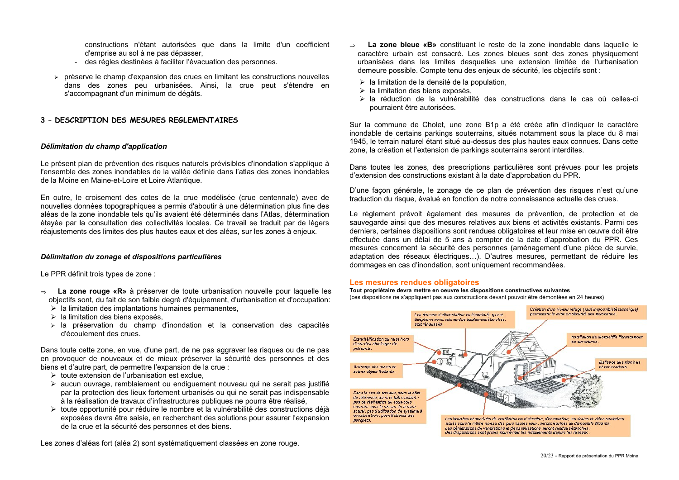constructions n'étant autorisées que dans la limite d'un coefficient d'emprise au sol à ne pas dépasser.

- des règles destinées à faciliter l'évacuation des personnes.
- $\triangleright$  préserve le champ d'expansion des crues en limitant les constructions nouvelles dans des zones peu urbanisées. Ainsi, la crue peut s'étendre en s'accompagnant d'un minimum de dégâts.

### 3 - DESCRIPTION DES MESURES REGLEMENTAIRES

#### Délimitation du champ d'application

Le présent plan de prévention des risques naturels prévisibles d'inondation s'applique à l'ensemble des zones inondables de la vallée définie dans l'atlas des zones inondables de la Moine en Maine-et-Loire et Loire Atlantique.

En outre, le croisement des cotes de la crue modélisée (crue centennale) avec de nouvelles données topographiques a permis d'aboutir à une détermination plus fine des aléas de la zone inondable tels qu'ils avaient été déterminés dans l'Atlas, détermination étavée par la consultation des collectivités locales. Ce travail se traduit par de légers réaiustements des limites des plus hautes eaux et des aléas, sur les zones à enjeux.

#### Délimitation du zonage et dispositions particulières

Le PPR définit trois types de zone :

- La zone rouge «R» à préserver de toute urbanisation nouvelle pour laquelle les  $\rightarrow$ objectifs sont, du fait de son faible degré d'équipement, d'urbanisation et d'occupation:
	- $\triangleright$  la limitation des implantations humaines permanentes,
	- > la limitation des biens exposés,
	- $\ge$  la préservation du champ d'inondation et la conservation des capacités d'écoulement des crues.

Dans toute cette zone, en vue, d'une part, de ne pas aggraver les risques ou de ne pas en provoguer de nouveaux et de mieux préserver la sécurité des personnes et des biens et d'autre part, de permettre l'expansion de la crue :

- $\triangleright$  toute extension de l'urbanisation est exclue.
- > aucun ouvrage, remblaiement ou endiguement nouveau qui ne serait pas justifié par la protection des lieux fortement urbanisés ou qui ne serait pas indispensable à la réalisation de travaux d'infrastructures publiques ne pourra être réalisé.
- > toute opportunité pour réduire le nombre et la vulnérabilité des constructions déià exposées devra être saisie, en recherchant des solutions pour assurer l'expansion de la crue et la sécurité des personnes et des biens.

Les zones d'aléas fort (aléa 2) sont systématiquement classées en zone rouge.

- La zone bleue «B» constituant le reste de la zone inondable dans laquelle le  $\rightarrow$ caractère urbain est consacré. Les zones bleues sont des zones physiquement urbanisées dans les limites desquelles une extension limitée de l'urbanisation demeure possible. Compte tenu des enjeux de sécurité, les objectifs sont :
	- $\triangleright$  la limitation de la densité de la population.
	- $\triangleright$  la limitation des biens exposés.
	- $\ge$  la réduction de la vulnérabilité des constructions dans le cas où celles-ci pourraient être autorisées.

Sur la commune de Cholet, une zone B1p a été créée afin d'indiquer le caractère inondable de certains parkings souterrains, situés notamment sous la place du 8 mai 1945, le terrain naturel étant situé au-dessus des plus hautes eaux connues. Dans cette zone, la création et l'extension de parkings souterrains seront interdites.

Dans toutes les zones, des prescriptions particulières sont prévues pour les projets d'extension des constructions existant à la date d'approbation du PPR.

D'une facon générale. le zonage de ce plan de prévention des risques n'est qu'une traduction du risque, évalué en fonction de notre connaissance actuelle des crues.

Le règlement prévoit également des mesures de prévention, de protection et de sauvegarde ainsi que des mesures relatives aux biens et activités existants. Parmi ces derniers, certaines dispositions sont rendues obligatoires et leur mise en œuvre doit être effectuée dans un délai de 5 ans à compter de la date d'approbation du PPR. Ces mesures concernent la sécurité des personnes (aménagement d'une pièce de survie, adaptation des réseaux électriques...). D'autres mesures, permettant de réduire les dommages en cas d'inondation, sont uniquement recommandées.

#### Les mesures rendues obligatoires

Tout propriétaire devra mettre en oeuvre les dispositions constructives suivantes (ces dispositions ne s'appliquent pas aux constructions devant pouvoir être démontées en 24 heures)

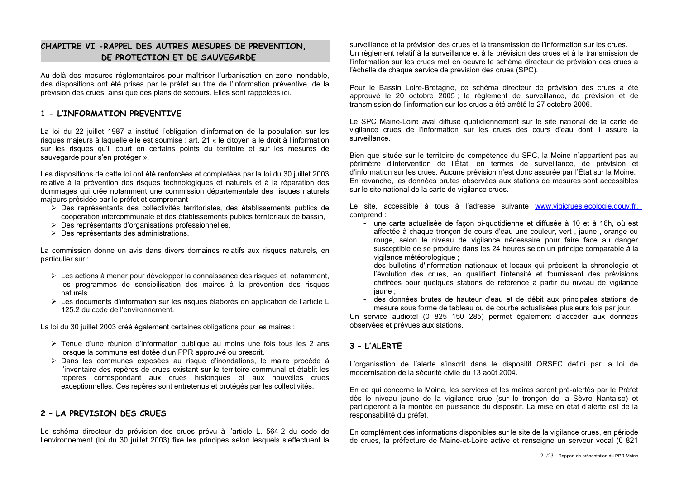# CHAPITRE VI - RAPPEL DES AUTRES MESURES DE PREVENTION. DE PROTECTION ET DE SAUVEGARDE

Au-delà des mesures réglementaires pour maîtriser l'urbanisation en zone inondable. des dispositions ont été prises par le préfet au titre de l'information préventive, de la prévision des crues, ainsi que des plans de secours. Elles sont rappelées ici.

# 1 - L'INFORMATION PREVENTIVE

La loi du 22 juillet 1987 a institué l'obligation d'information de la population sur les risques majeurs à laquelle elle est soumise : art. 21 « le citoven a le droit à l'information sur les risques qu'il court en certains points du territoire et sur les mesures de sauvegarde pour s'en protéger ».

Les dispositions de cette loi ont été renforcées et complétées par la loi du 30 juillet 2003 relative à la prévention des risques technologiques et naturels et à la réparation des dommages qui crée notamment une commission départementale des risques naturels majeurs présidée par le préfet et comprenant :

- > Des représentants des collectivités territoriales, des établissements publics de coopération intercommunale et des établissements publics territoriaux de bassin.
- > Des représentants d'organisations professionnelles,
- $\triangleright$  Des représentants des administrations.

La commission donne un avis dans divers domaines relatifs aux risques naturels, en particulier sur :

- $\triangleright$  Les actions à mener pour développer la connaissance des risques et, notamment, les programmes de sensibilisation des maires à la prévention des risques naturels
- > Les documents d'information sur les risques élaborés en application de l'article L 125.2 du code de l'environnement

La loi du 30 juillet 2003 créé également certaines obligations pour les maires :

- $\triangleright$  Tenue d'une réunion d'information publique au moins une fois tous les 2 ans lorsque la commune est dotée d'un PPR approuvé ou prescrit.
- > Dans les communes exposées au risque d'inondations, le maire procède à l'inventaire des repères de crues existant sur le territoire communal et établit les repères correspondant aux crues historiques et aux nouvelles crues exceptionnelles. Ces repères sont entretenus et protégés par les collectivités.

# 2 - LA PREVISION DES CRUES

Le schéma directeur de prévision des crues prévu à l'article L. 564-2 du code de l'environnement (loi du 30 juillet 2003) fixe les principes selon lesquels s'effectuent la surveillance et la prévision des crues et la transmission de l'information sur les crues. Un règlement relatif à la surveillance et à la prévision des crues et à la transmission de l'information sur les crues met en oeuvre le schéma directeur de prévision des crues à l'échelle de chaque service de prévision des crues (SPC).

Pour le Bassin Loire-Bretagne, ce schéma directeur de prévision des crues a été approuvé le 20 octobre 2005; le règlement de surveillance, de prévision et de transmission de l'information sur les crues a été arrêté le 27 octobre 2006

Le SPC Maine-Loire aval diffuse quotidiennement sur le site national de la carte de vigilance crues de l'information sur les crues des cours d'eau dont il assure la surveillance

Bien que située sur le territoire de compétence du SPC, la Moine n'appartient pas au périmètre d'intervention de l'État, en termes de surveillance, de prévision et d'information sur les crues. Aucune prévision n'est donc assurée par l'État sur la Moine. En revanche, les données brutes observées aux stations de mesures sont accessibles sur le site national de la carte de vigilance crues.

Le site, accessible à tous à l'adresse suivante www.vigicrues.ecologie.gouv.fr, comprend:

- une carte actualisée de facon bi-quotidienne et diffusée à 10 et à 16h, où est affectée à chaque tronçon de cours d'eau une couleur, vert, jaune, orange ou rouge, selon le niveau de vigilance nécessaire pour faire face au danger susceptible de se produire dans les 24 heures selon un principe comparable à la vigilance météorologique :
- des bulletins d'information nationaux et locaux qui précisent la chronologie et l'évolution des crues, en qualifient l'intensité et fournissent des prévisions chiffrées pour quelques stations de référence à partir du niveau de vigilance iaune:
- des données brutes de hauteur d'eau et de débit aux principales stations de mesure sous forme de tableau ou de courbe actualisées plusieurs fois par jour.

Un service audiotel (0 825 150 285) permet également d'accéder aux données observées et prévues aux stations.

# $3 - L'ALERTE$

L'organisation de l'alerte s'inscrit dans le dispositif ORSEC défini par la loi de modernisation de la sécurité civile du 13 août 2004

En ce qui concerne la Moine, les services et les maires seront pré-alertés par le Préfet dès le niveau jaune de la vigilance crue (sur le troncon de la Sèvre Nantaise) et participeront à la montée en puissance du dispositif. La mise en état d'alerte est de la responsabilité du préfet.

En complément des informations disponibles sur le site de la vigilance crues, en période de crues, la préfecture de Maine-et-Loire active et renseigne un serveur vocal (0 821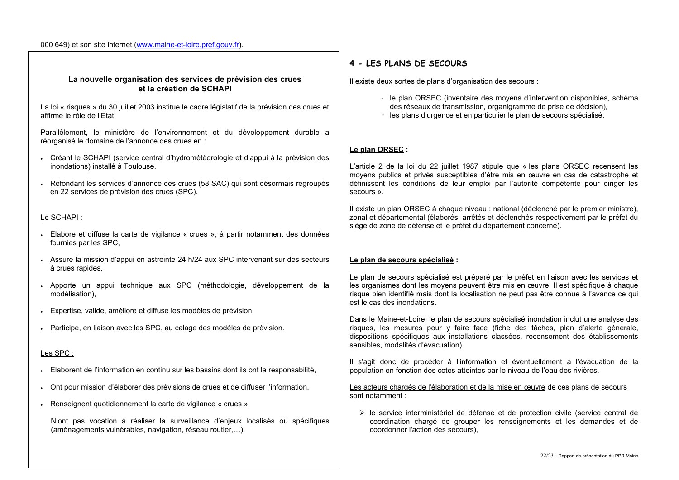#### 000 649) et son site internet (www.maine-et-loire.pref.gouv.fr).

#### La nouvelle organisation des services de prévision des crues et la création de SCHAPI

La loi « risques » du 30 juillet 2003 institue le cadre législatif de la prévision des crues et affirme le rôle de l'Etat.

Parallèlement, le ministère de l'environnement et du développement durable a réorganisé le domaine de l'annonce des crues en :

- · Créant le SCHAPI (service central d'hydrométéorologie et d'appui à la prévision des inondations) installé à Toulouse.
- Refondant les services d'annonce des crues (58 SAC) qui sont désormais regroupés en 22 services de prévision des crues (SPC).

#### Le SCHAPI:

- Élabore et diffuse la carte de vigilance « crues », à partir notamment des données fournies par les SPC.
- Assure la mission d'appui en astreinte 24 h/24 aux SPC intervenant sur des secteurs à crues rapides.
- Apporte un appui technique aux SPC (méthodologie, développement de la modélisation).
- · Expertise, valide, améliore et diffuse les modèles de prévision,
- · Participe, en liaison avec les SPC, au calage des modèles de prévision.

### Les SPC:

- Elaborent de l'information en continu sur les bassins dont ils ont la responsabilité.
- . Ont pour mission d'élaborer des prévisions de crues et de diffuser l'information,
- Renseignent quotidiennement la carte de vigilance « crues »

N'ont pas vocation à réaliser la surveillance d'enjeux localisés ou spécifiques (aménagements vulnérables, navigation, réseau routier....).

### 4 - LES PLANS DE SECOURS

Il existe deux sortes de plans d'organisation des secours :

- · le plan ORSEC (inventaire des moyens d'intervention disponibles, schéma des réseaux de transmission, organigramme de prise de décision).
- · les plans d'urgence et en particulier le plan de secours spécialisé.

### Le plan ORSEC :

L'article 2 de la loi du 22 juillet 1987 stipule que « les plans ORSEC recensent les moyens publics et privés susceptibles d'être mis en œuvre en cas de catastrophe et définissent les conditions de leur emploi par l'autorité compétente pour diriger les secours ».

Il existe un plan ORSEC à chaque niveau : national (déclenché par le premier ministre). zonal et départemental (élaborés, arrêtés et déclenchés respectivement par le préfet du siège de zone de défense et le préfet du département concerné).

#### Le plan de secours spécialisé :

Le plan de secours spécialisé est préparé par le préfet en liaison avec les services et les organismes dont les moyens peuvent être mis en œuvre. Il est spécifique à chaque risque bien identifié mais dont la localisation ne peut pas être connue à l'avance ce qui est le cas des inondations

Dans le Maine-et-Loire, le plan de secours spécialisé inondation inclut une analyse des risques, les mesures pour y faire face (fiche des tâches, plan d'alerte générale, dispositions spécifiques aux installations classées, recensement des établissements sensibles, modalités d'évacuation).

Il s'agit donc de procéder à l'information et éventuellement à l'évacuation de la population en fonction des cotes atteintes par le niveau de l'eau des rivières.

Les acteurs chargés de l'élaboration et de la mise en œuvre de ces plans de secours sont notamment :

> le service interministériel de défense et de protection civile (service central de coordination chargé de grouper les renseignements et les demandes et de coordonner l'action des secours).